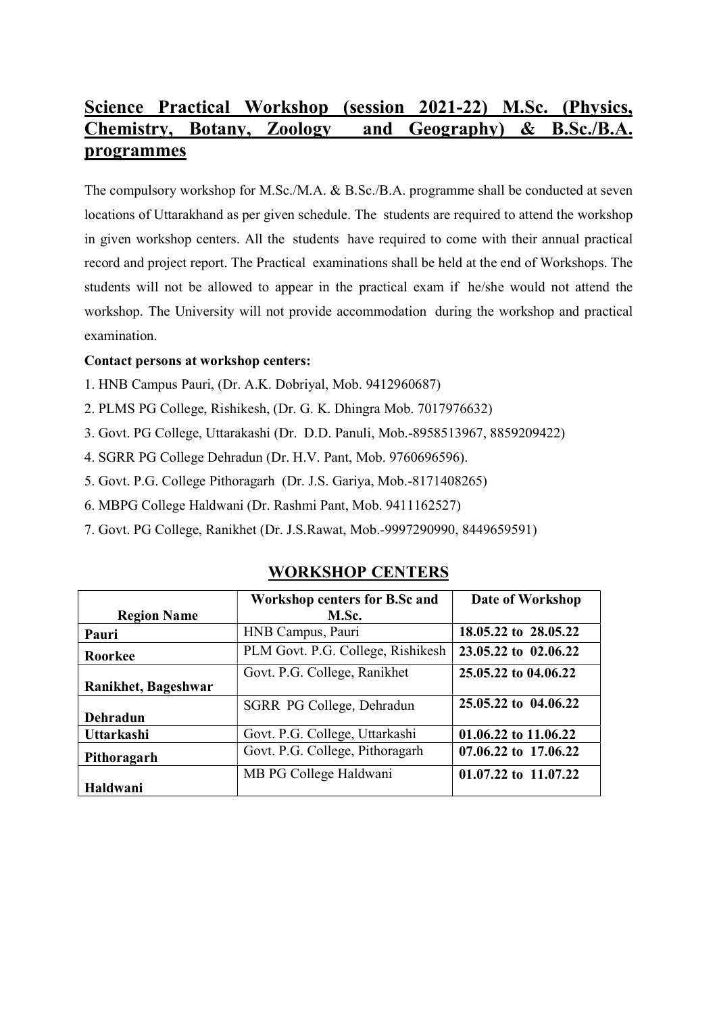# Science Practical Workshop (session 2021-22) M.Sc. (Physics, Chemistry, Botany, Zoology and Geography) & B.Sc./B.A. programmes

The compulsory workshop for M.Sc./M.A. & B.Sc./B.A. programme shall be conducted at seven locations of Uttarakhand as per given schedule. The students are required to attend the workshop in given workshop centers. All the students have required to come with their annual practical record and project report. The Practical examinations shall be held at the end of Workshops. The students will not be allowed to appear in the practical exam if he/she would not attend the workshop. The University will not provide accommodation during the workshop and practical examination.

#### Contact persons at workshop centers:

- 1. HNB Campus Pauri, (Dr. A.K. Dobriyal, Mob. 9412960687)
- 2. PLMS PG College, Rishikesh, (Dr. G. K. Dhingra Mob. 7017976632)
- 3. Govt. PG College, Uttarakashi (Dr. D.D. Panuli, Mob.-8958513967, 8859209422)
- 4. SGRR PG College Dehradun (Dr. H.V. Pant, Mob. 9760696596).
- 5. Govt. P.G. College Pithoragarh (Dr. J.S. Gariya, Mob.-8171408265)
- 6. MBPG College Haldwani (Dr. Rashmi Pant, Mob. 9411162527)
- 7. Govt. PG College, Ranikhet (Dr. J.S.Rawat, Mob.-9997290990, 8449659591)

### WORKSHOP CENTERS

|                     | <b>Workshop centers for B.Sc and</b> | Date of Workshop     |
|---------------------|--------------------------------------|----------------------|
| <b>Region Name</b>  | M.Sc.                                |                      |
| Pauri               | HNB Campus, Pauri                    | 18.05.22 to 28.05.22 |
| Roorkee             | PLM Govt. P.G. College, Rishikesh    | 23.05.22 to 02.06.22 |
|                     | Govt. P.G. College, Ranikhet         | 25.05.22 to 04.06.22 |
| Ranikhet, Bageshwar |                                      |                      |
|                     | SGRR PG College, Dehradun            | 25.05.22 to 04.06.22 |
| Dehradun            |                                      |                      |
| Uttarkashi          | Govt. P.G. College, Uttarkashi       | 01.06.22 to 11.06.22 |
| Pithoragarh         | Govt. P.G. College, Pithoragarh      | 07.06.22 to 17.06.22 |
|                     | MB PG College Haldwani               | 01.07.22 to 11.07.22 |
| Haldwani            |                                      |                      |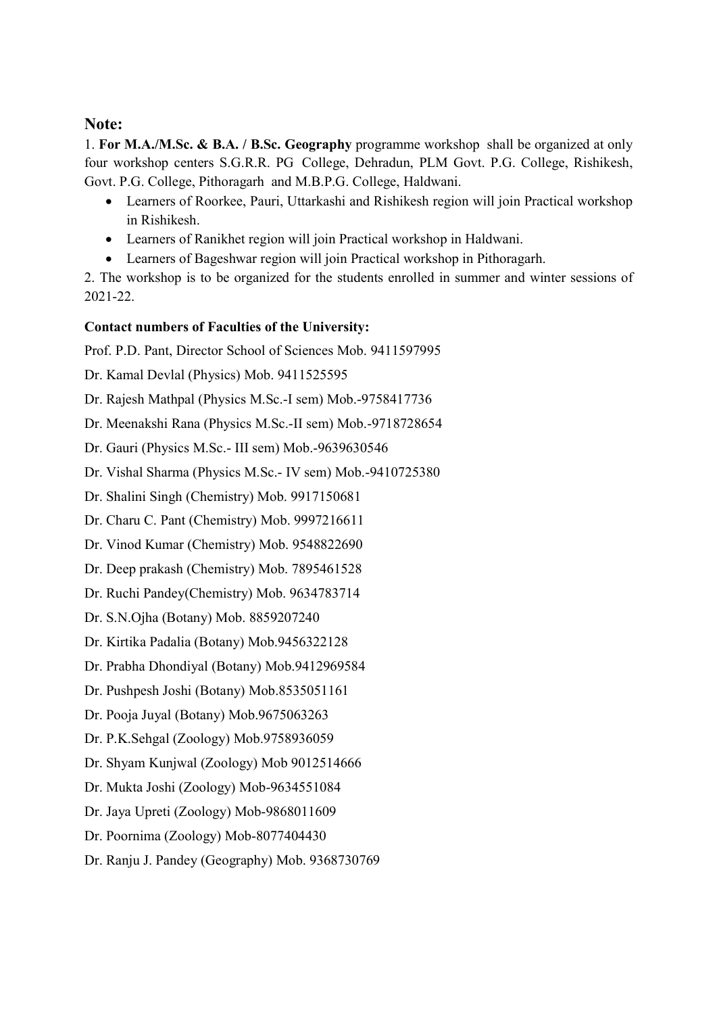#### Note:

1. For M.A./M.Sc. & B.A. / B.Sc. Geography programme workshop shall be organized at only four workshop centers S.G.R.R. PG College, Dehradun, PLM Govt. P.G. College, Rishikesh, Govt. P.G. College, Pithoragarh and M.B.P.G. College, Haldwani.

- Learners of Roorkee, Pauri, Uttarkashi and Rishikesh region will join Practical workshop in Rishikesh.
- Learners of Ranikhet region will join Practical workshop in Haldwani.
- Learners of Bageshwar region will join Practical workshop in Pithoragarh.

2. The workshop is to be organized for the students enrolled in summer and winter sessions of 2021-22.

#### Contact numbers of Faculties of the University:

Prof. P.D. Pant, Director School of Sciences Mob. 9411597995

Dr. Kamal Devlal (Physics) Mob. 9411525595

Dr. Rajesh Mathpal (Physics M.Sc.-I sem) Mob.-9758417736

Dr. Meenakshi Rana (Physics M.Sc.-II sem) Mob.-9718728654

Dr. Gauri (Physics M.Sc.- III sem) Mob.-9639630546

Dr. Vishal Sharma (Physics M.Sc.- IV sem) Mob.-9410725380

Dr. Shalini Singh (Chemistry) Mob. 9917150681

Dr. Charu C. Pant (Chemistry) Mob. 9997216611

Dr. Vinod Kumar (Chemistry) Mob. 9548822690

Dr. Deep prakash (Chemistry) Mob. 7895461528

Dr. Ruchi Pandey(Chemistry) Mob. 9634783714

Dr. S.N.Ojha (Botany) Mob. 8859207240

Dr. Kirtika Padalia (Botany) Mob.9456322128

Dr. Prabha Dhondiyal (Botany) Mob.9412969584

Dr. Pushpesh Joshi (Botany) Mob.8535051161

Dr. Pooja Juyal (Botany) Mob.9675063263

Dr. P.K.Sehgal (Zoology) Mob.9758936059

Dr. Shyam Kunjwal (Zoology) Mob 9012514666

Dr. Mukta Joshi (Zoology) Mob-9634551084

Dr. Jaya Upreti (Zoology) Mob-9868011609

Dr. Poornima (Zoology) Mob-8077404430

Dr. Ranju J. Pandey (Geography) Mob. 9368730769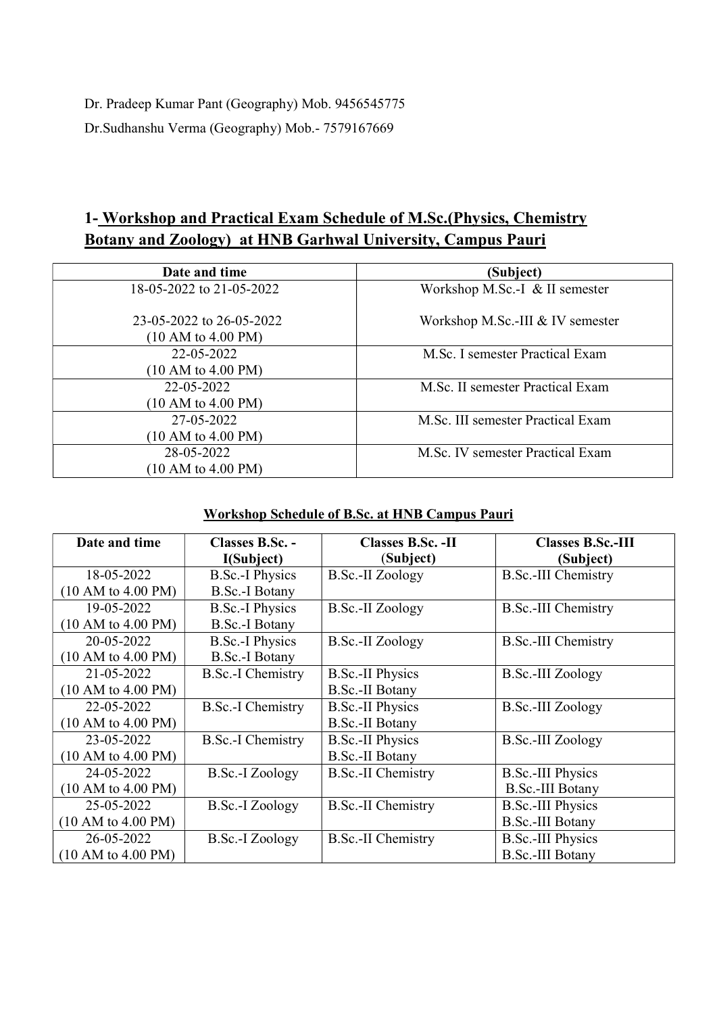Dr. Pradeep Kumar Pant (Geography) Mob. 9456545775 Dr.Sudhanshu Verma (Geography) Mob.- 7579167669

## 1- Workshop and Practical Exam Schedule of M.Sc.(Physics, Chemistry Botany and Zoology) at HNB Garhwal University, Campus Pauri

| Date and time                                  | (Subject)                         |  |
|------------------------------------------------|-----------------------------------|--|
| 18-05-2022 to 21-05-2022                       | Workshop M.Sc.-I & II semester    |  |
| 23-05-2022 to 26-05-2022<br>(10 AM to 4.00 PM) | Workshop M.Sc.-III & IV semester  |  |
| 22-05-2022                                     | M.Sc. I semester Practical Exam   |  |
| (10 AM to 4.00 PM)                             |                                   |  |
| 22-05-2022                                     | M.Sc. II semester Practical Exam  |  |
| (10 AM to 4.00 PM)                             |                                   |  |
| 27-05-2022                                     | M.Sc. III semester Practical Exam |  |
| (10 AM to 4.00 PM)                             |                                   |  |
| 28-05-2022                                     | M.Sc. IV semester Practical Exam  |  |
| (10 AM to 4.00 PM)                             |                                   |  |

### Workshop Schedule of B.Sc. at HNB Campus Pauri

| Date and time      | Classes B.Sc. -          | <b>Classes B.Sc. - II</b> | <b>Classes B.Sc.-III</b>   |
|--------------------|--------------------------|---------------------------|----------------------------|
|                    | I(Subject)               | (Subject)                 | (Subject)                  |
| 18-05-2022         | <b>B.Sc.-I Physics</b>   | <b>B.Sc.-II</b> Zoology   | <b>B.Sc.-III Chemistry</b> |
| (10 AM to 4.00 PM) | <b>B.Sc.-I Botany</b>    |                           |                            |
| 19-05-2022         | <b>B.Sc.-I Physics</b>   | B.Sc.-II Zoology          | <b>B.Sc.-III Chemistry</b> |
| (10 AM to 4.00 PM) | <b>B.Sc.-I Botany</b>    |                           |                            |
| 20-05-2022         | <b>B.Sc.-I Physics</b>   | B.Sc.-II Zoology          | <b>B.Sc.-III Chemistry</b> |
| (10 AM to 4.00 PM) | B.Sc.-I Botany           |                           |                            |
| 21-05-2022         | B.Sc.-I Chemistry        | <b>B.Sc.-II Physics</b>   | B.Sc.-III Zoology          |
| (10 AM to 4.00 PM) |                          | <b>B.Sc.-II Botany</b>    |                            |
| 22-05-2022         | <b>B.Sc.-I</b> Chemistry | <b>B.Sc.-II Physics</b>   | B.Sc.-III Zoology          |
| (10 AM to 4.00 PM) |                          | B.Sc.-II Botany           |                            |
| 23-05-2022         | <b>B.Sc.-I Chemistry</b> | <b>B.Sc.-II Physics</b>   | <b>B.Sc.-III Zoology</b>   |
| (10 AM to 4.00 PM) |                          | B.Sc.-II Botany           |                            |
| 24-05-2022         | B.Sc.-I Zoology          | <b>B.Sc.-II Chemistry</b> | <b>B.Sc.-III Physics</b>   |
| (10 AM to 4.00 PM) |                          |                           | <b>B.Sc.-III Botany</b>    |
| 25-05-2022         | B.Sc.-I Zoology          | <b>B.Sc.-II Chemistry</b> | <b>B.Sc.-III Physics</b>   |
| (10 AM to 4.00 PM) |                          |                           | <b>B.Sc.-III Botany</b>    |
| 26-05-2022         | B.Sc.-I Zoology          | <b>B.Sc.-II Chemistry</b> | <b>B.Sc.-III Physics</b>   |
| (10 AM to 4.00 PM) |                          |                           | <b>B.Sc.-III Botany</b>    |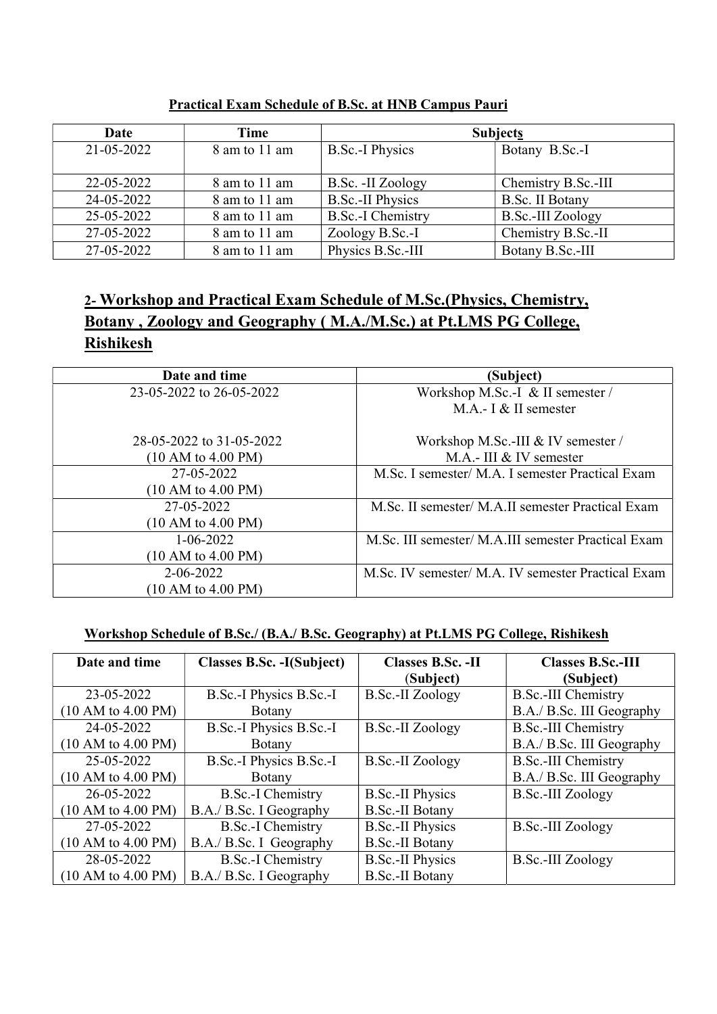| Date       | Time          | <b>Subjects</b>          |                          |
|------------|---------------|--------------------------|--------------------------|
| 21-05-2022 | 8 am to 11 am | <b>B.Sc.-I Physics</b>   | Botany B.Sc.-I           |
|            |               |                          |                          |
| 22-05-2022 | 8 am to 11 am | B.Sc. -II Zoology        | Chemistry B.Sc.-III      |
| 24-05-2022 | 8 am to 11 am | <b>B.Sc.-II Physics</b>  | B.Sc. II Botany          |
| 25-05-2022 | 8 am to 11 am | <b>B.Sc.-I Chemistry</b> | <b>B.Sc.-III Zoology</b> |
| 27-05-2022 | 8 am to 11 am | Zoology B.Sc.-I          | Chemistry B.Sc.-II       |
| 27-05-2022 | 8 am to 11 am | Physics B.Sc.-III        | Botany B.Sc.-III         |

#### Practical Exam Schedule of B.Sc. at HNB Campus Pauri

# 2- Workshop and Practical Exam Schedule of M.Sc.(Physics, Chemistry, Botany , Zoology and Geography ( M.A./M.Sc.) at Pt.LMS PG College, **Rishikesh**

| Date and time            | (Subject)                                           |  |
|--------------------------|-----------------------------------------------------|--|
| 23-05-2022 to 26-05-2022 | Workshop M.Sc.-I & II semester /                    |  |
|                          | M.A.- $I \& II$ semester                            |  |
| 28-05-2022 to 31-05-2022 | Workshop M.Sc.-III & IV semester /                  |  |
| (10 AM to 4.00 PM)       | M.A.- III & IV semester                             |  |
| 27-05-2022               | M.Sc. I semester/ M.A. I semester Practical Exam    |  |
| (10 AM to 4.00 PM)       |                                                     |  |
| 27-05-2022               | M.Sc. II semester/ M.A.II semester Practical Exam   |  |
| (10 AM to 4.00 PM)       |                                                     |  |
| $1 - 06 - 2022$          | M.Sc. III semester/ M.A.III semester Practical Exam |  |
| (10 AM to 4.00 PM)       |                                                     |  |
| $2 - 06 - 2022$          | M.Sc. IV semester/ M.A. IV semester Practical Exam  |  |
| (10 AM to 4.00 PM)       |                                                     |  |

### Workshop Schedule of B.Sc./ (B.A./ B.Sc. Geography) at Pt.LMS PG College, Rishikesh

| Date and time      | Classes B.Sc. -I(Subject) | Classes B.Sc. -II       | <b>Classes B.Sc.-III</b>   |
|--------------------|---------------------------|-------------------------|----------------------------|
|                    |                           | (Subject)               | (Subject)                  |
| 23-05-2022         | B.Sc.-I Physics B.Sc.-I   | <b>B.Sc.-II Zoology</b> | <b>B.Sc.-III Chemistry</b> |
| (10 AM to 4.00 PM) | <b>B</b> otany            |                         | B.A./ B.Sc. III Geography  |
| 24-05-2022         | B.Sc.-I Physics B.Sc.-I   | B.Sc.-II Zoology        | <b>B.Sc.-III Chemistry</b> |
| (10 AM to 4.00 PM) | <b>B</b> otany            |                         | B.A./ B.Sc. III Geography  |
| 25-05-2022         | B.Sc.-I Physics B.Sc.-I   | <b>B.Sc.-II</b> Zoology | <b>B.Sc.-III Chemistry</b> |
| (10 AM to 4.00 PM) | Botany                    |                         | B.A./ B.Sc. III Geography  |
| 26-05-2022         | B.Sc.-I Chemistry         | <b>B.Sc.-II Physics</b> | <b>B.Sc.-III Zoology</b>   |
| (10 AM to 4.00 PM) | B.A./ B.Sc. I Geography   | <b>B.Sc.-II Botany</b>  |                            |
| 27-05-2022         | <b>B.Sc.-I Chemistry</b>  | <b>B.Sc.-II Physics</b> | <b>B.Sc.-III Zoology</b>   |
| (10 AM to 4.00 PM) | B.A./ B.Sc. I Geography   | <b>B.Sc.-II Botany</b>  |                            |
| 28-05-2022         | <b>B.Sc.-I</b> Chemistry  | <b>B.Sc.-II Physics</b> | <b>B.Sc.-III Zoology</b>   |
| (10 AM to 4.00 PM) | B.A./ B.Sc. I Geography   | <b>B.Sc.-II Botany</b>  |                            |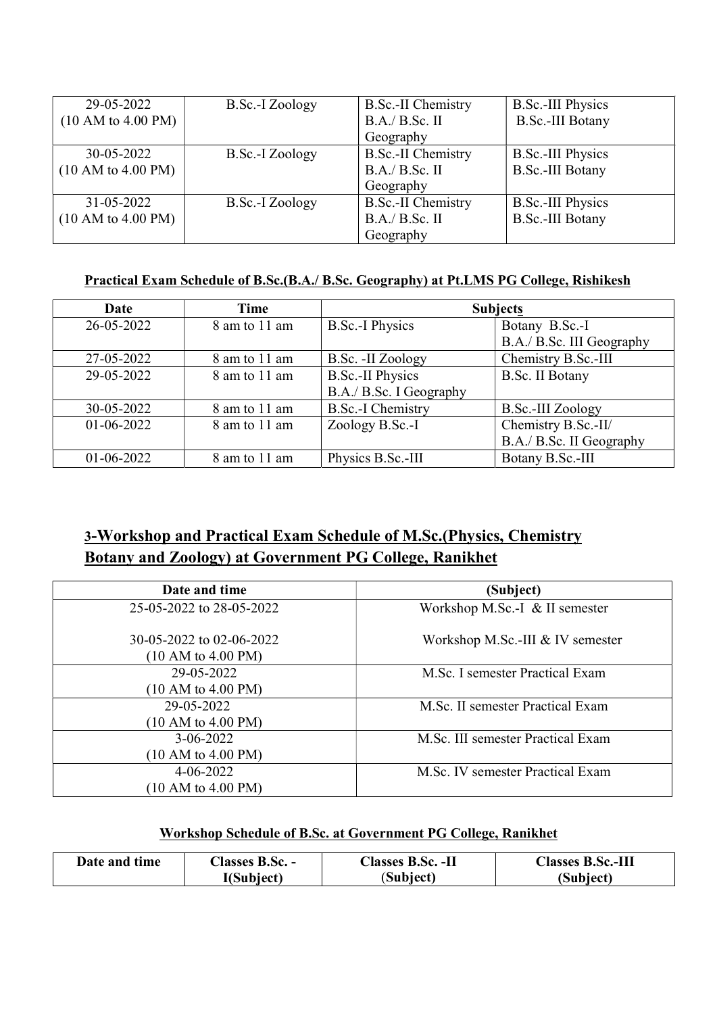| 29-05-2022         | B.Sc.-I Zoology | <b>B.Sc.-II Chemistry</b> | <b>B.Sc.-III Physics</b> |
|--------------------|-----------------|---------------------------|--------------------------|
| (10 AM to 4.00 PM) |                 | B.A./ B.Sc. II            | <b>B.Sc.-III Botany</b>  |
|                    |                 | Geography                 |                          |
| 30-05-2022         | B.Sc.-I Zoology | <b>B.Sc.-II Chemistry</b> | <b>B.Sc.-III Physics</b> |
| (10 AM to 4.00 PM) |                 | B.A./ B.Sc. II            | <b>B.Sc.-III Botany</b>  |
|                    |                 | Geography                 |                          |
| $31 - 05 - 2022$   | B.Sc.-I Zoology | <b>B.Sc.-II Chemistry</b> | <b>B.Sc.-III Physics</b> |
| (10 AM to 4.00 PM) |                 | B.A./ B.Sc. II            | <b>B.Sc.-III Botany</b>  |
|                    |                 | Geography                 |                          |

#### Practical Exam Schedule of B.Sc.(B.A./ B.Sc. Geography) at Pt.LMS PG College, Rishikesh

| Date         | Time          | <b>Subjects</b>          |                           |
|--------------|---------------|--------------------------|---------------------------|
| 26-05-2022   | 8 am to 11 am | <b>B.Sc.-I Physics</b>   | Botany B.Sc.-I            |
|              |               |                          | B.A./ B.Sc. III Geography |
| 27-05-2022   | 8 am to 11 am | B.Sc. -II Zoology        | Chemistry B.Sc.-III       |
| 29-05-2022   | 8 am to 11 am | <b>B.Sc.-II Physics</b>  | <b>B.Sc. II Botany</b>    |
|              |               | B.A./ B.Sc. I Geography  |                           |
| 30-05-2022   | 8 am to 11 am | <b>B.Sc.-I Chemistry</b> | B.Sc.-III Zoology         |
| $01-06-2022$ | 8 am to 11 am | Zoology B.Sc.-I          | Chemistry B.Sc.-II/       |
|              |               |                          | B.A./ B.Sc. II Geography  |
| $01-06-2022$ | 8 am to 11 am | Physics B.Sc.-III        | Botany B.Sc.-III          |

## 3-Workshop and Practical Exam Schedule of M.Sc.(Physics, Chemistry Botany and Zoology) at Government PG College, Ranikhet

| Date and time                                  | (Subject)                         |  |
|------------------------------------------------|-----------------------------------|--|
| 25-05-2022 to 28-05-2022                       | Workshop M.Sc.-I & II semester    |  |
| 30-05-2022 to 02-06-2022<br>(10 AM to 4.00 PM) | Workshop M.Sc.-III & IV semester  |  |
| 29-05-2022                                     | M.Sc. I semester Practical Exam   |  |
| (10 AM to 4.00 PM)                             |                                   |  |
| 29-05-2022                                     | M.Sc. II semester Practical Exam  |  |
| (10 AM to 4.00 PM)                             |                                   |  |
| $3-06-2022$                                    | M.Sc. III semester Practical Exam |  |
| (10 AM to 4.00 PM)                             |                                   |  |
| $4 - 06 - 2022$                                | M.Sc. IV semester Practical Exam  |  |
| (10 AM to 4.00 PM)                             |                                   |  |

#### Workshop Schedule of B.Sc. at Government PG College, Ranikhet

| Date and time | <b>Classes B.Sc. -</b> | <b>Classes B.Sc. -II</b> | <b>Classes B.Sc.-III</b> |
|---------------|------------------------|--------------------------|--------------------------|
|               | I(Subject)             | (Subject)                | (Subject)                |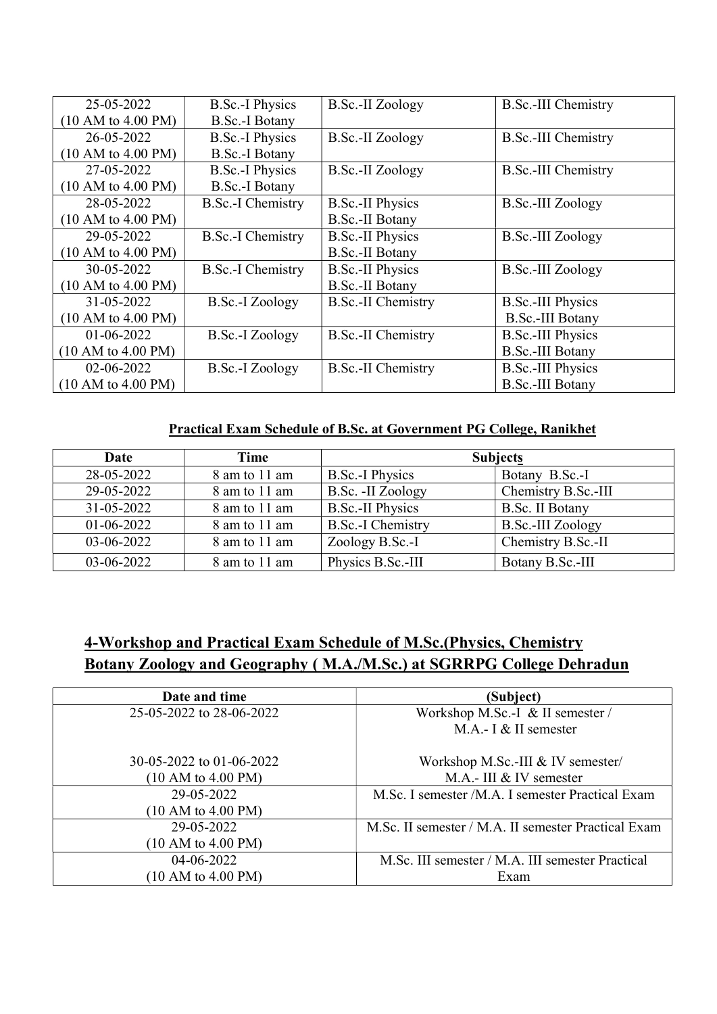| 25-05-2022         | <b>B.Sc.-I Physics</b>   | B.Sc.-II Zoology          | <b>B.Sc.-III Chemistry</b> |
|--------------------|--------------------------|---------------------------|----------------------------|
| (10 AM to 4.00 PM) | <b>B.Sc.-I Botany</b>    |                           |                            |
| 26-05-2022         | <b>B.Sc.-I Physics</b>   | B.Sc.-II Zoology          | <b>B.Sc.-III Chemistry</b> |
| (10 AM to 4.00 PM) | <b>B.Sc.-I Botany</b>    |                           |                            |
| 27-05-2022         | <b>B.Sc.-I Physics</b>   | B.Sc.-II Zoology          | <b>B.Sc.-III Chemistry</b> |
| (10 AM to 4.00 PM) | <b>B.Sc.-I Botany</b>    |                           |                            |
| 28-05-2022         | <b>B.Sc.-I Chemistry</b> | <b>B.Sc.-II Physics</b>   | <b>B.Sc.-III Zoology</b>   |
| (10 AM to 4.00 PM) |                          | <b>B.Sc.-II Botany</b>    |                            |
| 29-05-2022         | <b>B.Sc.-I Chemistry</b> | <b>B.Sc.-II Physics</b>   | <b>B.Sc.-III Zoology</b>   |
| (10 AM to 4.00 PM) |                          | <b>B.Sc.-II Botany</b>    |                            |
| 30-05-2022         | <b>B.Sc.-I Chemistry</b> | <b>B.Sc.-II Physics</b>   | <b>B.Sc.-III Zoology</b>   |
| (10 AM to 4.00 PM) |                          | <b>B.Sc.-II Botany</b>    |                            |
| 31-05-2022         | <b>B.Sc.-I Zoology</b>   | <b>B.Sc.-II Chemistry</b> | <b>B.Sc.-III Physics</b>   |
| (10 AM to 4.00 PM) |                          |                           | <b>B.Sc.-III Botany</b>    |
| 01-06-2022         | B.Sc.-I Zoology          | <b>B.Sc.-II Chemistry</b> | <b>B.Sc.-III Physics</b>   |
| (10 AM to 4.00 PM) |                          |                           | <b>B.Sc.-III Botany</b>    |
| 02-06-2022         | B.Sc.-I Zoology          | <b>B.Sc.-II Chemistry</b> | <b>B.Sc.-III Physics</b>   |
| (10 AM to 4.00 PM) |                          |                           | <b>B.Sc.-III Botany</b>    |

### Practical Exam Schedule of B.Sc. at Government PG College, Ranikhet

| Date         | Time          | <b>Subjects</b>          |                          |
|--------------|---------------|--------------------------|--------------------------|
| 28-05-2022   | 8 am to 11 am | <b>B.Sc.-I Physics</b>   | Botany B.Sc.-I           |
| 29-05-2022   | 8 am to 11 am | B.Sc. -II Zoology        | Chemistry B.Sc.-III      |
| 31-05-2022   | 8 am to 11 am | <b>B.Sc.-II Physics</b>  | <b>B.Sc. II Botany</b>   |
| $01-06-2022$ | 8 am to 11 am | <b>B.Sc.-I Chemistry</b> | <b>B.Sc.-III Zoology</b> |
| 03-06-2022   | 8 am to 11 am | Zoology B.Sc.-I          | Chemistry B.Sc.-II       |
| 03-06-2022   | 8 am to 11 am | Physics B.Sc.-III        | Botany B.Sc.-III         |

# 4-Workshop and Practical Exam Schedule of M.Sc.(Physics, Chemistry Botany Zoology and Geography ( M.A./M.Sc.) at SGRRPG College Dehradun

| Date and time            | (Subject)                                           |
|--------------------------|-----------------------------------------------------|
| 25-05-2022 to 28-06-2022 | Workshop M.Sc.-I & II semester /                    |
|                          | M.A.- I & II semester                               |
| 30-05-2022 to 01-06-2022 | Workshop M.Sc.-III & IV semester/                   |
| (10 AM to 4.00 PM)       | M.A.- III & IV semester                             |
| 29-05-2022               | M.Sc. I semester /M.A. I semester Practical Exam    |
| (10 AM to 4.00 PM)       |                                                     |
| 29-05-2022               | M.Sc. II semester / M.A. II semester Practical Exam |
| (10 AM to 4.00 PM)       |                                                     |
| 04-06-2022               | M.Sc. III semester / M.A. III semester Practical    |
| (10 AM to 4.00 PM)       | Exam                                                |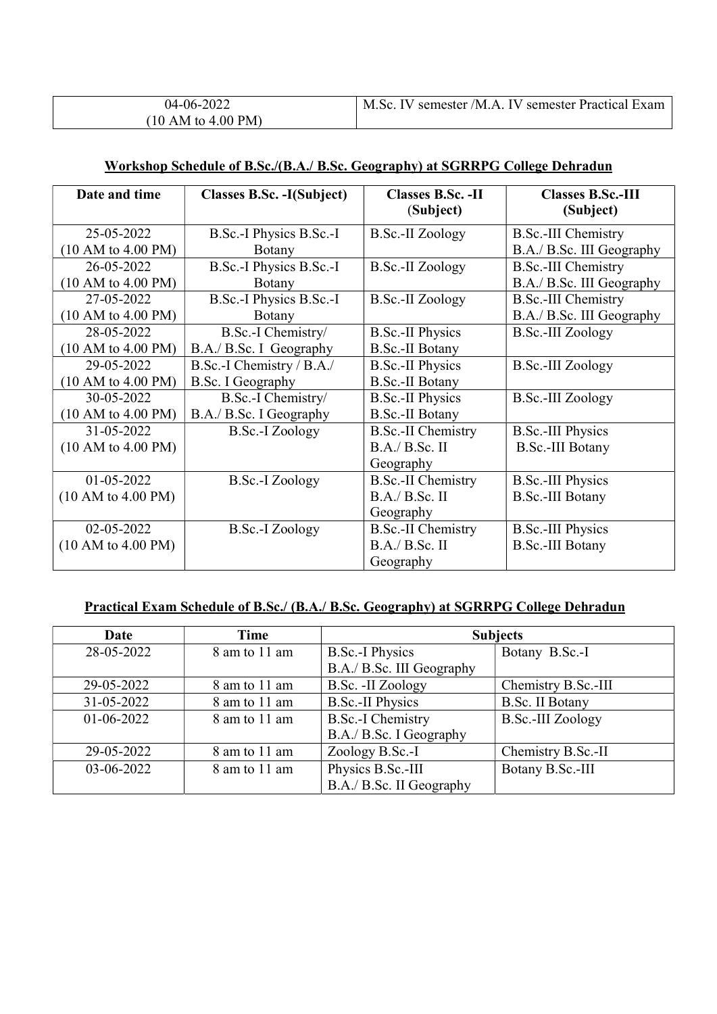| 04-06-2022         | M.Sc. IV semester /M.A. IV semester Practical Exam |
|--------------------|----------------------------------------------------|
| (10 AM to 4.00 PM) |                                                    |

#### Workshop Schedule of B.Sc./(B.A./ B.Sc. Geography) at SGRRPG College Dehradun

| Date and time                    | <b>Classes B.Sc. -I(Subject)</b> | <b>Classes B.Sc. -II</b><br>(Subject)                    | <b>Classes B.Sc.-III</b><br>(Subject)               |
|----------------------------------|----------------------------------|----------------------------------------------------------|-----------------------------------------------------|
| 25-05-2022                       | B.Sc.-I Physics B.Sc.-I          | B.Sc.-II Zoology                                         | <b>B.Sc.-III Chemistry</b>                          |
| (10 AM to 4.00 PM)               | <b>Botany</b>                    |                                                          | B.A./ B.Sc. III Geography                           |
| 26-05-2022                       | B.Sc.-I Physics B.Sc.-I          | B.Sc.-II Zoology                                         | <b>B.Sc.-III Chemistry</b>                          |
| (10 AM to 4.00 PM)               | Botany                           |                                                          | B.A./ B.Sc. III Geography                           |
| 27-05-2022                       | B.Sc.-I Physics B.Sc.-I          | <b>B.Sc.-II</b> Zoology                                  | <b>B.Sc.-III Chemistry</b>                          |
| (10 AM to 4.00 PM)               | <b>Botany</b>                    |                                                          | B.A./ B.Sc. III Geography                           |
| 28-05-2022                       | B.Sc.-I Chemistry/               | <b>B.Sc.-II Physics</b>                                  | <b>B.Sc.-III Zoology</b>                            |
| (10 AM to 4.00 PM)               | B.A./ B.Sc. I Geography          | B.Sc.-II Botany                                          |                                                     |
| 29-05-2022                       | B.Sc.-I Chemistry / B.A./        | <b>B.Sc.-II Physics</b>                                  | <b>B.Sc.-III Zoology</b>                            |
| (10 AM to 4.00 PM)               | B.Sc. I Geography                | <b>B.Sc.-II Botany</b>                                   |                                                     |
| 30-05-2022                       | B.Sc.-I Chemistry/               | <b>B.Sc.-II Physics</b>                                  | <b>B.Sc.-III Zoology</b>                            |
| (10 AM to 4.00 PM)               | B.A./ B.Sc. I Geography          | <b>B.Sc.-II Botany</b>                                   |                                                     |
| 31-05-2022<br>(10 AM to 4.00 PM) | B.Sc.-I Zoology                  | <b>B.Sc.-II Chemistry</b><br>B.A./ B.Sc. II<br>Geography | <b>B.Sc.-III Physics</b><br><b>B.Sc.-III Botany</b> |
| 01-05-2022<br>(10 AM to 4.00 PM) | <b>B.Sc.-I Zoology</b>           | <b>B.Sc.-II Chemistry</b><br>B.A./ B.Sc. II<br>Geography | <b>B.Sc.-III Physics</b><br><b>B.Sc.-III Botany</b> |
| 02-05-2022<br>(10 AM to 4.00 PM) | B.Sc.-I Zoology                  | <b>B.Sc.-II Chemistry</b><br>B.A./ B.Sc. II<br>Geography | <b>B.Sc.-III Physics</b><br><b>B.Sc.-III Botany</b> |

#### Practical Exam Schedule of B.Sc./ (B.A./ B.Sc. Geography) at SGRRPG College Dehradun

| Date       | Time          |                           | <b>Subjects</b>          |
|------------|---------------|---------------------------|--------------------------|
| 28-05-2022 | 8 am to 11 am | <b>B.Sc.-I Physics</b>    | Botany B.Sc.-I           |
|            |               | B.A./ B.Sc. III Geography |                          |
| 29-05-2022 | 8 am to 11 am | B.Sc. -II Zoology         | Chemistry B.Sc.-III      |
| 31-05-2022 | 8 am to 11 am | <b>B.Sc.-II Physics</b>   | <b>B.Sc. II Botany</b>   |
| 01-06-2022 | 8 am to 11 am | <b>B.Sc.-I Chemistry</b>  | <b>B.Sc.-III Zoology</b> |
|            |               | B.A./ B.Sc. I Geography   |                          |
| 29-05-2022 | 8 am to 11 am | Zoology B.Sc.-I           | Chemistry B.Sc.-II       |
| 03-06-2022 | 8 am to 11 am | Physics B.Sc.-III         | Botany B.Sc.-III         |
|            |               | B.A./ B.Sc. II Geography  |                          |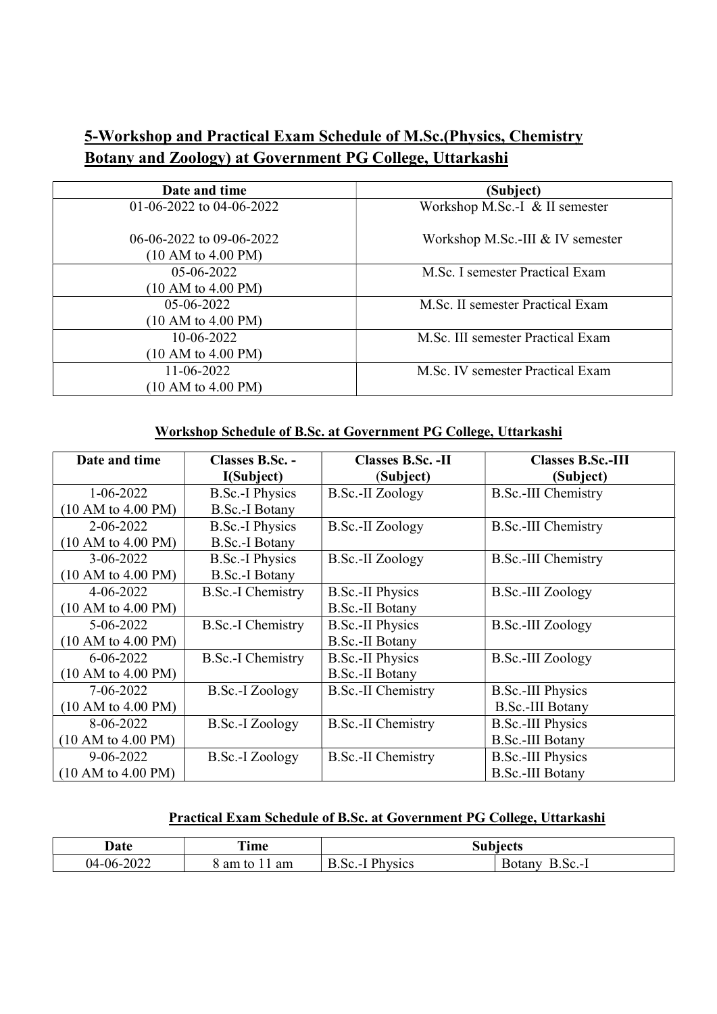# 5-Workshop and Practical Exam Schedule of M.Sc.(Physics, Chemistry Botany and Zoology) at Government PG College, Uttarkashi

| Date and time            | (Subject)                         |  |
|--------------------------|-----------------------------------|--|
| 01-06-2022 to 04-06-2022 | Workshop M.Sc.-I & II semester    |  |
|                          |                                   |  |
| 06-06-2022 to 09-06-2022 | Workshop M.Sc.-III & IV semester  |  |
| (10 AM to 4.00 PM)       |                                   |  |
| 05-06-2022               | M.Sc. I semester Practical Exam   |  |
| (10 AM to 4.00 PM)       |                                   |  |
| $05-06-2022$             | M.Sc. II semester Practical Exam  |  |
| (10 AM to 4.00 PM)       |                                   |  |
| 10-06-2022               | M.Sc. III semester Practical Exam |  |
| (10 AM to 4.00 PM)       |                                   |  |
| $11 - 06 - 2022$         | M.Sc. IV semester Practical Exam  |  |
| (10 AM to 4.00 PM)       |                                   |  |

### Workshop Schedule of B.Sc. at Government PG College, Uttarkashi

| Date and time      | Classes B.Sc. -<br>I(Subject) | Classes B.Sc. - II<br>(Subject) | <b>Classes B.Sc.-III</b><br>(Subject) |
|--------------------|-------------------------------|---------------------------------|---------------------------------------|
| $1 - 06 - 2022$    | <b>B.Sc.-I Physics</b>        | <b>B.Sc.-II Zoology</b>         | <b>B.Sc.-III Chemistry</b>            |
| (10 AM to 4.00 PM) | <b>B.Sc.-I Botany</b>         |                                 |                                       |
| $2 - 06 - 2022$    | <b>B.Sc.-I Physics</b>        | B.Sc.-II Zoology                | <b>B.Sc.-III Chemistry</b>            |
| (10 AM to 4.00 PM) | <b>B.Sc.-I Botany</b>         |                                 |                                       |
| $3-06-2022$        | <b>B.Sc.-I Physics</b>        | B.Sc.-II Zoology                | <b>B.Sc.-III Chemistry</b>            |
| (10 AM to 4.00 PM) | <b>B.Sc.-I Botany</b>         |                                 |                                       |
| $4 - 06 - 2022$    | <b>B.Sc.-I Chemistry</b>      | <b>B.Sc.-II Physics</b>         | B.Sc.-III Zoology                     |
| (10 AM to 4.00 PM) |                               | <b>B.Sc.-II Botany</b>          |                                       |
| $5 - 06 - 2022$    | <b>B.Sc.-I Chemistry</b>      | <b>B.Sc.-II Physics</b>         | B.Sc.-III Zoology                     |
| (10 AM to 4.00 PM) |                               | <b>B.Sc.-II Botany</b>          |                                       |
| $6 - 06 - 2022$    | <b>B.Sc.-I Chemistry</b>      | <b>B.Sc.-II Physics</b>         | <b>B.Sc.-III Zoology</b>              |
| (10 AM to 4.00 PM) |                               | <b>B.Sc.-II Botany</b>          |                                       |
| 7-06-2022          | B.Sc.-I Zoology               | <b>B.Sc.-II Chemistry</b>       | <b>B.Sc.-III Physics</b>              |
| (10 AM to 4.00 PM) |                               |                                 | B.Sc.-III Botany                      |
| 8-06-2022          | B.Sc.-I Zoology               | <b>B.Sc.-II Chemistry</b>       | <b>B.Sc.-III Physics</b>              |
| (10 AM to 4.00 PM) |                               |                                 | <b>B.Sc.-III Botany</b>               |
| $9 - 06 - 2022$    | <b>B.Sc.-I Zoology</b>        | <b>B.Sc.-II Chemistry</b>       | <b>B.Sc.-III Physics</b>              |
| (10 AM to 4.00 PM) |                               |                                 | <b>B.Sc.-III Botany</b>               |

### Practical Exam Schedule of B.Sc. at Government PG College, Uttarkashi

| Date                          | Time            | iu hiaete<br><b>DUD</b>                                         |               |
|-------------------------------|-----------------|-----------------------------------------------------------------|---------------|
| <u>വഗാ</u><br>$04-06-$<br>◡∠∠ | am<br>am<br>τ∩∴ | $\mathbf{D1}$<br><b>lVS1CS</b><br>$\mathcal{S}^{\alpha}$<br>— I | Botany<br>Sc. |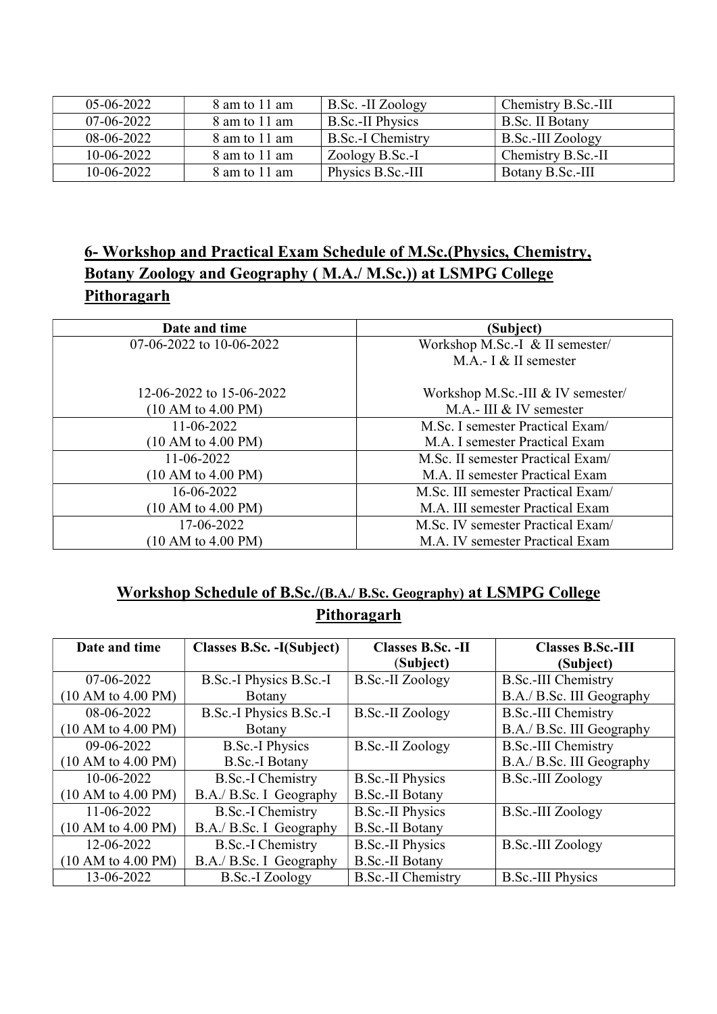| 05-06-2022   | 8 am to 11 am | B.Sc. -II Zoology       | Chemistry B.Sc.-III |
|--------------|---------------|-------------------------|---------------------|
| $07-06-2022$ | 8 am to 11 am | <b>B.Sc.-II Physics</b> | B.Sc. II Botany     |
| $08-06-2022$ | 8 am to 11 am | B.Sc.-I Chemistry       | B.Sc.-III Zoology   |
| 10-06-2022   | 8 am to 11 am | Zoology B.Sc.-I         | Chemistry B.Sc.-II  |
| $10-06-2022$ | 8 am to 11 am | Physics B.Sc.-III       | Botany B.Sc.-III    |

## 6- Workshop and Practical Exam Schedule of M.Sc.(Physics, Chemistry, Botany Zoology and Geography ( M.A./ M.Sc.)) at LSMPG College **Pithoragarh**

| Date and time            | (Subject)                          |  |
|--------------------------|------------------------------------|--|
| 07-06-2022 to 10-06-2022 | Workshop M.Sc.-I & II semester/    |  |
|                          | M.A.- $I \& II$ semester           |  |
| 12-06-2022 to 15-06-2022 | Workshop M.Sc.-III & IV semester/  |  |
| (10 AM to 4.00 PM)       | M.A.- III $&$ IV semester          |  |
| 11-06-2022               | M.Sc. I semester Practical Exam/   |  |
| (10 AM to 4.00 PM)       | M.A. I semester Practical Exam     |  |
| 11-06-2022               | M.Sc. II semester Practical Exam/  |  |
| (10 AM to 4.00 PM)       | M.A. II semester Practical Exam    |  |
| 16-06-2022               | M.Sc. III semester Practical Exam/ |  |
| (10 AM to 4.00 PM)       | M.A. III semester Practical Exam   |  |
| 17-06-2022               | M.Sc. IV semester Practical Exam/  |  |
| (10 AM to 4.00 PM)       | M.A. IV semester Practical Exam    |  |

# Workshop Schedule of B.Sc./(B.A./ B.Sc. Geography) at LSMPG College **Pithoragarh**

| Date and time      | Classes B.Sc. -I(Subject) | Classes B.Sc. -II         | <b>Classes B.Sc.-III</b>   |
|--------------------|---------------------------|---------------------------|----------------------------|
|                    |                           | (Subject)                 | (Subject)                  |
| 07-06-2022         | B.Sc.-I Physics B.Sc.-I   | <b>B.Sc.-II Zoology</b>   | <b>B.Sc.-III Chemistry</b> |
| (10 AM to 4.00 PM) | <b>B</b> otany            |                           | B.A./ B.Sc. III Geography  |
| 08-06-2022         | B.Sc.-I Physics B.Sc.-I   | <b>B.Sc.-II Zoology</b>   | <b>B.Sc.-III Chemistry</b> |
| (10 AM to 4.00 PM) | Botany                    |                           | B.A./ B.Sc. III Geography  |
| 09-06-2022         | <b>B.Sc.-I Physics</b>    | B.Sc.-II Zoology          | <b>B.Sc.-III Chemistry</b> |
| (10 AM to 4.00 PM) | <b>B.Sc.-I Botany</b>     |                           | B.A./ B.Sc. III Geography  |
| 10-06-2022         | <b>B.Sc.-I</b> Chemistry  | <b>B.Sc.-II Physics</b>   | <b>B.Sc.-III Zoology</b>   |
| (10 AM to 4.00 PM) | B.A./ B.Sc. I Geography   | <b>B.Sc.-II Botany</b>    |                            |
| 11-06-2022         | <b>B.Sc.-I</b> Chemistry  | <b>B.Sc.-II Physics</b>   | B.Sc.-III Zoology          |
| (10 AM to 4.00 PM) | B.A./ B.Sc. I Geography   | <b>B.Sc.-II Botany</b>    |                            |
| 12-06-2022         | <b>B.Sc.-I Chemistry</b>  | <b>B.Sc.-II Physics</b>   | B.Sc.-III Zoology          |
| (10 AM to 4.00 PM) | B.A./ B.Sc. I Geography   | <b>B.Sc.-II Botany</b>    |                            |
| 13-06-2022         | B.Sc.-I Zoology           | <b>B.Sc.-II Chemistry</b> | <b>B.Sc.-III Physics</b>   |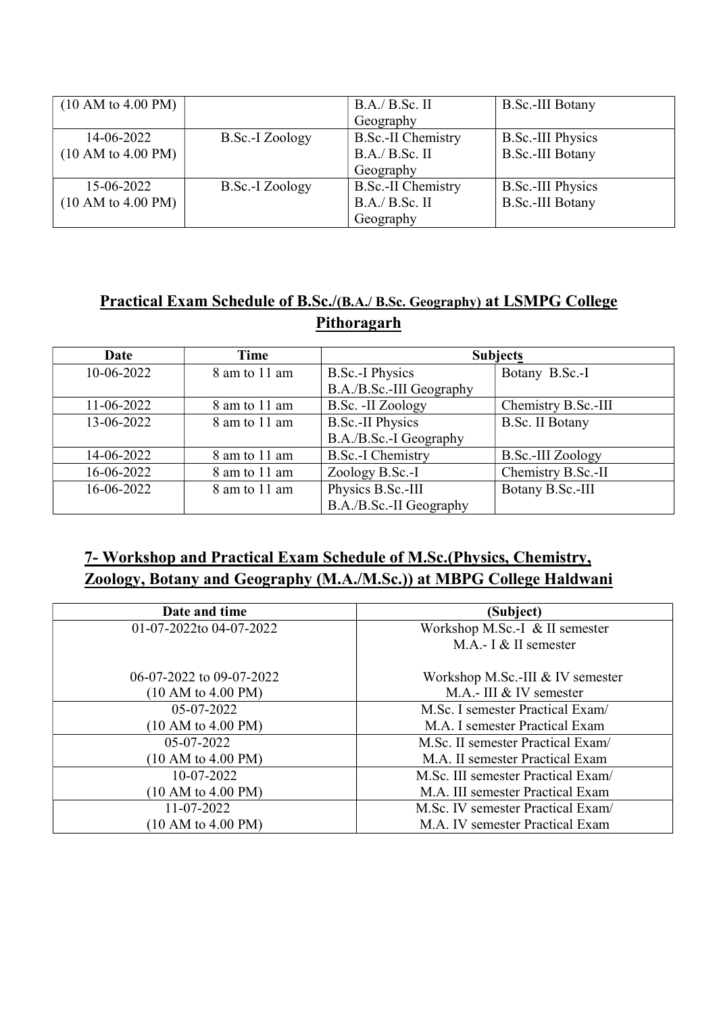| (10 AM to 4.00 PM) |                 | B.A./ B.Sc. II            | B.Sc.-III Botany         |
|--------------------|-----------------|---------------------------|--------------------------|
|                    |                 | Geography                 |                          |
| 14-06-2022         | B.Sc.-I Zoology | <b>B.Sc.-II Chemistry</b> | <b>B.Sc.-III Physics</b> |
| (10 AM to 4.00 PM) |                 | B.A./ B.Sc. II            | <b>B.Sc.-III Botany</b>  |
|                    |                 | Geography                 |                          |
| 15-06-2022         | B.Sc.-I Zoology | <b>B.Sc.-II Chemistry</b> | <b>B.Sc.-III Physics</b> |
| (10 AM to 4.00 PM) |                 | B.A./ B.Sc. II            | <b>B.Sc.-III Botany</b>  |
|                    |                 | Geography                 |                          |

# Practical Exam Schedule of B.Sc./(B.A./ B.Sc. Geography) at LSMPG College **Pithoragarh**

| Date             | Time          | <b>Subjects</b>          |                        |
|------------------|---------------|--------------------------|------------------------|
| 10-06-2022       | 8 am to 11 am | <b>B.Sc.-I Physics</b>   | Botany B.Sc.-I         |
|                  |               | B.A./B.Sc.-III Geography |                        |
| $11 - 06 - 2022$ | 8 am to 11 am | B.Sc. - II Zoology       | Chemistry B.Sc.-III    |
| 13-06-2022       | 8 am to 11 am | <b>B.Sc.-II Physics</b>  | <b>B.Sc. II Botany</b> |
|                  |               | B.A./B.Sc.-I Geography   |                        |
| 14-06-2022       | 8 am to 11 am | <b>B.Sc.-I Chemistry</b> | B.Sc.-III Zoology      |
| 16-06-2022       | 8 am to 11 am | Zoology B.Sc.-I          | Chemistry B.Sc.-II     |
| 16-06-2022       | 8 am to 11 am | Physics B.Sc.-III        | Botany B.Sc.-III       |
|                  |               | B.A./B.Sc.-II Geography  |                        |

# 7- Workshop and Practical Exam Schedule of M.Sc.(Physics, Chemistry, Zoology, Botany and Geography (M.A./M.Sc.)) at MBPG College Haldwani

| Date and time            | (Subject)                          |  |
|--------------------------|------------------------------------|--|
| 01-07-2022to 04-07-2022  | Workshop M.Sc.-I & II semester     |  |
|                          | M.A.- I & II semester              |  |
| 06-07-2022 to 09-07-2022 | Workshop M.Sc.-III & IV semester   |  |
| (10 AM to 4.00 PM)       | M.A.- III & IV semester            |  |
| $05-07-2022$             | M.Sc. I semester Practical Exam/   |  |
| (10 AM to 4.00 PM)       | M.A. I semester Practical Exam     |  |
| 05-07-2022               | M.Sc. II semester Practical Exam/  |  |
| (10 AM to 4.00 PM)       | M.A. II semester Practical Exam    |  |
| 10-07-2022               | M.Sc. III semester Practical Exam/ |  |
| (10 AM to 4.00 PM)       | M.A. III semester Practical Exam   |  |
| 11-07-2022               | M.Sc. IV semester Practical Exam/  |  |
| (10 AM to 4.00 PM)       | M.A. IV semester Practical Exam    |  |